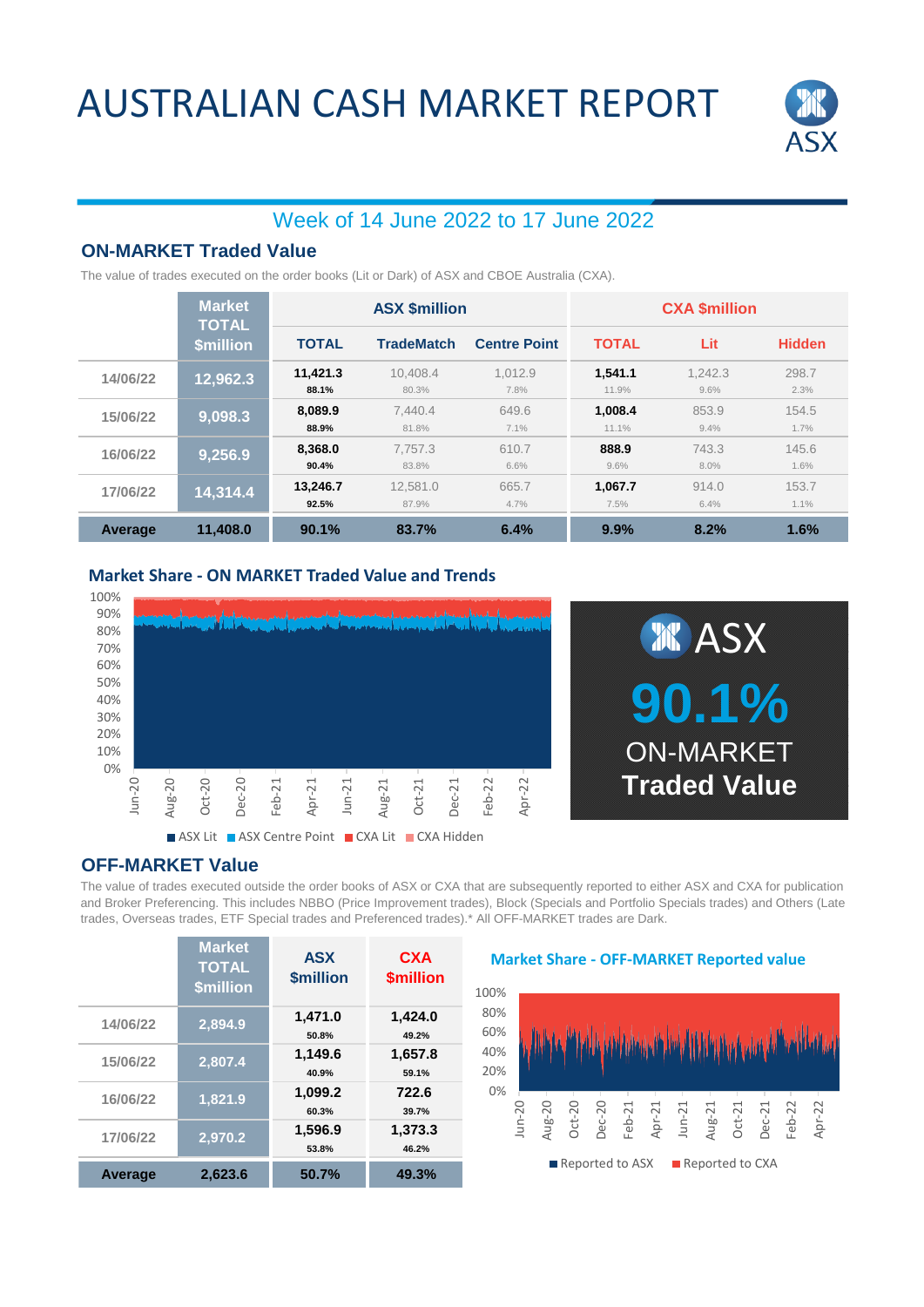## AUSTRALIAN CASH MARKET REPORT



### Week of 14 June 2022 to 17 June 2022

### **ON-MARKET Traded Value**

The value of trades executed on the order books (Lit or Dark) of ASX and CBOE Australia (CXA).

|          | <b>Market</b><br><b>TOTAL</b> | <b>ASX \$million</b> |                   |                     | <b>CXA \$million</b> |                 |               |
|----------|-------------------------------|----------------------|-------------------|---------------------|----------------------|-----------------|---------------|
|          | <b>\$million</b>              | <b>TOTAL</b>         | <b>TradeMatch</b> | <b>Centre Point</b> | <b>TOTAL</b>         | Lit             | <b>Hidden</b> |
| 14/06/22 | 12,962.3                      | 11,421.3<br>88.1%    | 10.408.4<br>80.3% | 1.012.9<br>7.8%     | 1.541.1<br>11.9%     | 1.242.3<br>9.6% | 298.7<br>2.3% |
| 15/06/22 | 9,098.3                       | 8.089.9<br>88.9%     | 7.440.4<br>81.8%  | 649.6<br>7.1%       | 1,008.4<br>11.1%     | 853.9<br>9.4%   | 154.5<br>1.7% |
| 16/06/22 | 9,256.9                       | 8.368.0<br>90.4%     | 7.757.3<br>83.8%  | 610.7<br>6.6%       | 888.9<br>9.6%        | 743.3<br>8.0%   | 145.6<br>1.6% |
| 17/06/22 | 14,314.4                      | 13.246.7<br>92.5%    | 12.581.0<br>87.9% | 665.7<br>4.7%       | 1.067.7<br>7.5%      | 914.0<br>6.4%   | 153.7<br>1.1% |
| Average  | 11.408.0                      | 90.1%                | 83.7%             | 6.4%                | 9.9%                 | 8.2%            | 1.6%          |

#### **Market Share - ON MARKET Traded Value and Trends**



### **OFF-MARKET Value**

The value of trades executed outside the order books of ASX or CXA that are subsequently reported to either ASX and CXA for publication and Broker Preferencing. This includes NBBO (Price Improvement trades), Block (Specials and Portfolio Specials trades) and Others (Late trades, Overseas trades, ETF Special trades and Preferenced trades).\* All OFF-MARKET trades are Dark.

|                | <b>Market</b><br><b>TOTAL</b><br>\$million | <b>ASX</b><br>\$million | <b>CXA</b><br><b>\$million</b> |
|----------------|--------------------------------------------|-------------------------|--------------------------------|
| 14/06/22       | 2,894.9                                    | 1,471.0<br>50.8%        | 1,424.0<br>49.2%               |
| 15/06/22       | 2,807.4                                    | 1,149.6<br>40.9%        | 1,657.8<br>59.1%               |
| 16/06/22       | 1,821.9                                    | 1.099.2<br>60.3%        | 722.6<br>39.7%                 |
| 17/06/22       | 2,970.2                                    | 1,596.9<br>53.8%        | 1,373.3<br>46.2%               |
| <b>Average</b> | 2.623.6                                    | 50.7%                   | 49.3%                          |

#### **Market Share - OFF-MARKET Reported value**